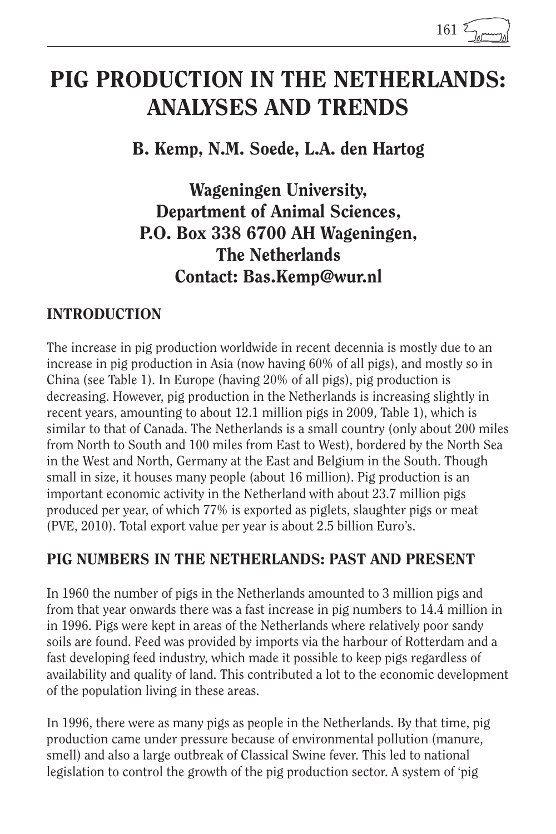## PIG PRODUCTION IN THE NETHERLANDS: ANALYSES AND TRENDS

B. Kemp, N.M. Soede, L.A. den Hartog

Wageningen University, Department of Animal Sciences, P.O. Box 338 6700 AH Wageningen, The Netherlands Contact: Bas.Kemp@wur.nl

#### INTRODUCTION

The increase in pig production worldwide in recent decennia is mostly due to an increase in pig production in Asia (now having 60% of all pigs), and mostly so in China (see Table 1). In Europe (having 20% of all pigs), pig production is decreasing. However, pig production in the Netherlands is increasing slightly in recent years, amounting to about 12.1 million pigs in 2009, Table 1), which is similar to that of Canada. The Netherlands is a small country (only about 200 miles from North to South and 100 miles from East to West), bordered by the North Sea in the West and North, Germany at the East and Belgium in the South. Though small in size, it houses many people (about 16 million). Pig production is an important economic activity in the Netherland with about 23.7 million pigs produced per year, of which 77% is exported as piglets, slaughter pigs or meat (PVE, 2010). Total export value per year is about 2.5 billion Euro's.

#### PIG NUMBERS IN THE NETHERLANDS: PAST AND PRESENT

In 1960 the number of pigs in the Netherlands amounted to 3 million pigs and from that year onwards there was a fast increase in pig numbers to 14.4 million in in 1996. Pigs were kept in areas of the Netherlands where relatively poor sandy soils are found. Feed was provided by imports via the harbour of Rotterdam and a fast developing feed industry, which made it possible to keep pigs regardless of availability and quality of land. This contributed a lot to the economic development of the population living in these areas.

In 1996, there were as many pigs as people in the Netherlands. By that time, pig production came under pressure because of environmental pollution (manure, smell) and also a large outbreak of Classical Swine fever. This led to national legislation to control the growth of the pig production sector. A system of 'pig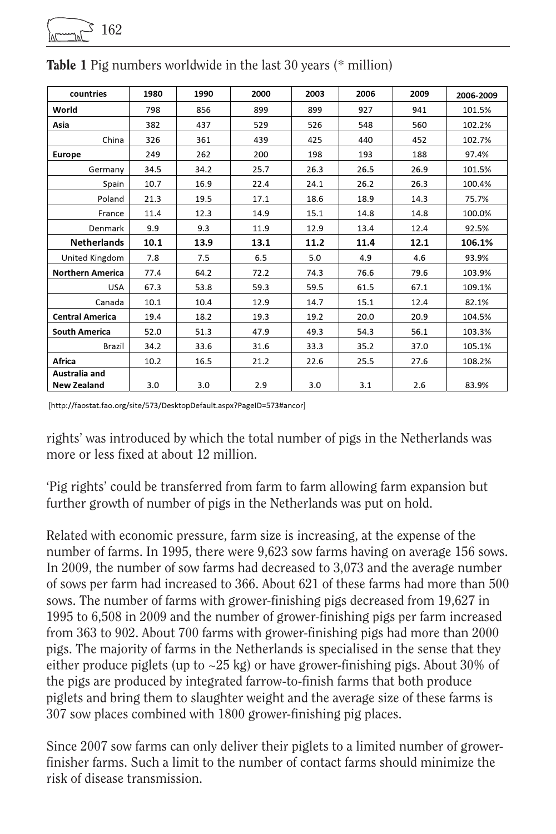| countries               | 1980 | 1990 | 2000 | 2003 | 2006 | 2009 | 2006-2009 |
|-------------------------|------|------|------|------|------|------|-----------|
| World                   | 798  | 856  | 899  | 899  | 927  | 941  | 101.5%    |
| Asia                    | 382  | 437  | 529  | 526  | 548  | 560  | 102.2%    |
| China                   | 326  | 361  | 439  | 425  | 440  | 452  | 102.7%    |
| <b>Europe</b>           | 249  | 262  | 200  | 198  | 193  | 188  | 97.4%     |
| Germany                 | 34.5 | 34.2 | 25.7 | 26.3 | 26.5 | 26.9 | 101.5%    |
| Spain                   | 10.7 | 16.9 | 22.4 | 24.1 | 26.2 | 26.3 | 100.4%    |
| Poland                  | 21.3 | 19.5 | 17.1 | 18.6 | 18.9 | 14.3 | 75.7%     |
| France                  | 11.4 | 12.3 | 14.9 | 15.1 | 14.8 | 14.8 | 100.0%    |
| Denmark                 | 9.9  | 9.3  | 11.9 | 12.9 | 13.4 | 12.4 | 92.5%     |
| <b>Netherlands</b>      | 10.1 | 13.9 | 13.1 | 11.2 | 11.4 | 12.1 | 106.1%    |
| United Kingdom          | 7.8  | 7.5  | 6.5  | 5.0  | 4.9  | 4.6  | 93.9%     |
| <b>Northern America</b> | 77.4 | 64.2 | 72.2 | 74.3 | 76.6 | 79.6 | 103.9%    |
| <b>USA</b>              | 67.3 | 53.8 | 59.3 | 59.5 | 61.5 | 67.1 | 109.1%    |
| Canada                  | 10.1 | 10.4 | 12.9 | 14.7 | 15.1 | 12.4 | 82.1%     |
| <b>Central America</b>  | 19.4 | 18.2 | 19.3 | 19.2 | 20.0 | 20.9 | 104.5%    |
| <b>South America</b>    | 52.0 | 51.3 | 47.9 | 49.3 | 54.3 | 56.1 | 103.3%    |
| Brazil                  | 34.2 | 33.6 | 31.6 | 33.3 | 35.2 | 37.0 | 105.1%    |
| Africa                  | 10.2 | 16.5 | 21.2 | 22.6 | 25.5 | 27.6 | 108.2%    |
| Australia and           |      |      |      |      |      |      |           |
| <b>New Zealand</b>      | 3.0  | 3.0  | 2.9  | 3.0  | 3.1  | 2.6  | 83.9%     |

Table 1 Pig numbers worldwide in the last 30 years (\* million)

162

[http://faostat.fao.org/site/573/DesktopDefault.aspx?PageID=573#ancor]

rights' was introduced by which the total number of pigs in the Netherlands was more or less fixed at about 12 million.

'Pig rights' could be transferred from farm to farm allowing farm expansion but further growth of number of pigs in the Netherlands was put on hold.

Related with economic pressure, farm size is increasing, at the expense of the number of farms. In 1995, there were 9,623 sow farms having on average 156 sows. In 2009, the number of sow farms had decreased to 3,073 and the average number of sows per farm had increased to 366. About 621 of these farms had more than 500 sows. The number of farms with grower-finishing pigs decreased from 19,627 in 1995 to 6,508 in 2009 and the number of grower-finishing pigs per farm increased from 363 to 902. About 700 farms with grower-finishing pigs had more than 2000 pigs. The majority of farms in the Netherlands is specialised in the sense that they either produce piglets (up to  $\sim$  25 kg) or have grower-finishing pigs. About 30% of the pigs are produced by integrated farrow-to-finish farms that both produce piglets and bring them to slaughter weight and the average size of these farms is 307 sow places combined with 1800 grower-finishing pig places.

Since 2007 sow farms can only deliver their piglets to a limited number of growerfinisher farms. Such a limit to the number of contact farms should minimize the risk of disease transmission.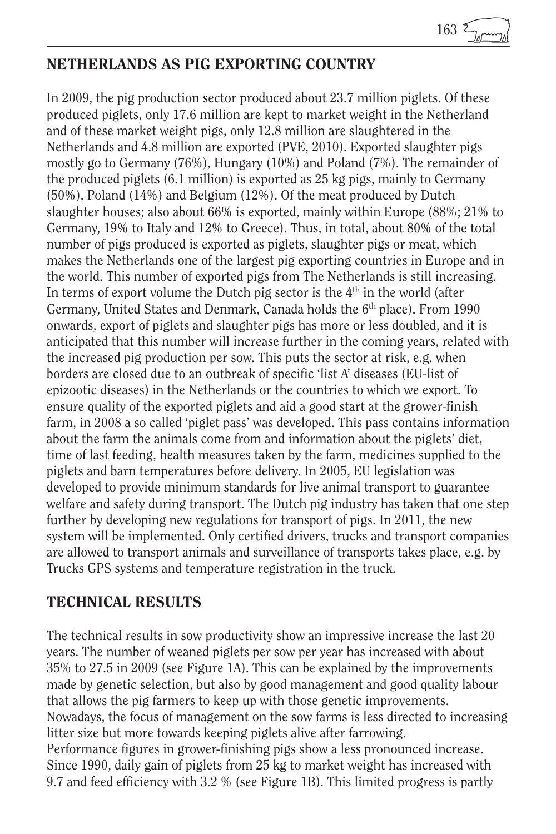```
163
```
#### NETHERLANDS AS PIG EXPORTING COUNTRY

In 2009, the pig production sector produced about 23.7 million piglets. Of these produced piglets, only 17.6 million are kept to market weight in the Netherland and of these market weight pigs, only 12.8 million are slaughtered in the Netherlands and 4.8 million are exported (PVE, 2010). Exported slaughter pigs mostly go to Germany (76%), Hungary (10%) and Poland (7%). The remainder of the produced piglets (6.1 million) is exported as 25 kg pigs, mainly to Germany (50%), Poland (14%) and Belgium (12%). Of the meat produced by Dutch slaughter houses; also about 66% is exported, mainly within Europe (88%; 21% to Germany, 19% to Italy and 12% to Greece). Thus, in total, about 80% of the total number of pigs produced is exported as piglets, slaughter pigs or meat, which makes the Netherlands one of the largest pig exporting countries in Europe and in the world. This number of exported pigs from The Netherlands is still increasing. In terms of export volume the Dutch pig sector is the  $4<sup>th</sup>$  in the world (after Germany, United States and Denmark, Canada holds the 6<sup>th</sup> place). From 1990 onwards, export of piglets and slaughter pigs has more or less doubled, and it is anticipated that this number will increase further in the coming years, related with the increased pig production per sow. This puts the sector at risk, e.g. when borders are closed due to an outbreak of specific 'list A' diseases (EU-list of epizootic diseases) in the Netherlands or the countries to which we export. To ensure quality of the exported piglets and aid a good start at the grower-finish farm, in 2008 a so called 'piglet pass' was developed. This pass contains information about the farm the animals come from and information about the piglets' diet, time of last feeding, health measures taken by the farm, medicines supplied to the piglets and barn temperatures before delivery. In 2005, EU legislation was developed to provide minimum standards for live animal transport to guarantee welfare and safety during transport. The Dutch pig industry has taken that one step further by developing new regulations for transport of pigs. In 2011, the new system will be implemented. Only certified drivers, trucks and transport companies are allowed to transport animals and surveillance of transports takes place, e.g. by Trucks GPS systems and temperature registration in the truck.

#### TECHNICAL RESULTS

The technical results in sow productivity show an impressive increase the last 20 years. The number of weaned piglets per sow per year has increased with about 35% to 27.5 in 2009 (see Figure 1A). This can be explained by the improvements made by genetic selection, but also by good management and good quality labour that allows the pig farmers to keep up with those genetic improvements. Nowadays, the focus of management on the sow farms is less directed to increasing litter size but more towards keeping piglets alive after farrowing. Performance figures in grower-finishing pigs show a less pronounced increase. Since 1990, daily gain of piglets from 25 kg to market weight has increased with 9.7 and feed efficiency with 3.2 % (see Figure 1B). This limited progress is partly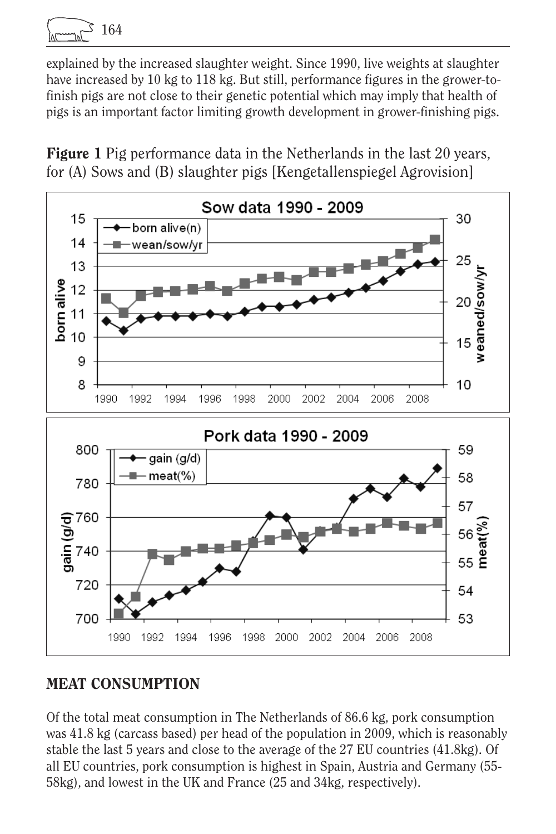164

explained by the increased slaughter weight. Since 1990, live weights at slaughter have increased by 10 kg to 118 kg. But still, performance figures in the grower-tofinish pigs are not close to their genetic potential which may imply that health of pigs is an important factor limiting growth development in grower-finishing pigs.

Figure 1 Pig performance data in the Netherlands in the last 20 years, for (A) Sows and (B) slaughter pigs [Kengetallenspiegel Agrovision]



#### MEAT CONSUMPTION

Of the total meat consumption in The Netherlands of 86.6 kg, pork consumption was 41.8 kg (carcass based) per head of the population in 2009, which is reasonably stable the last 5 years and close to the average of the 27 EU countries (41.8kg). Of all EU countries, pork consumption is highest in Spain, Austria and Germany (55- 58kg), and lowest in the UK and France (25 and 34kg, respectively).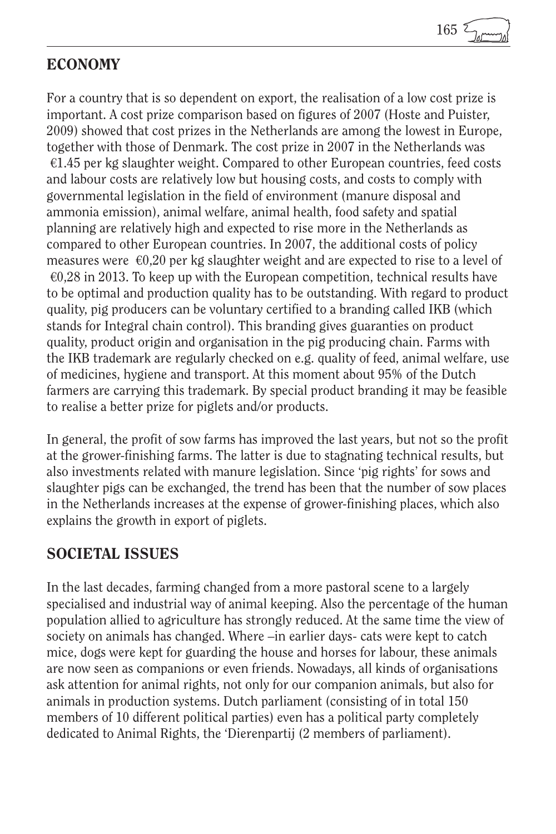

#### ECONOMY

For a country that is so dependent on export, the realisation of a low cost prize is important. A cost prize comparison based on figures of 2007 (Hoste and Puister, 2009) showed that cost prizes in the Netherlands are among the lowest in Europe, together with those of Denmark. The cost prize in 2007 in the Netherlands was  $€1.45$  per kg slaughter weight. Compared to other European countries, feed costs and labour costs are relatively low but housing costs, and costs to comply with governmental legislation in the field of environment (manure disposal and ammonia emission), animal welfare, animal health, food safety and spatial planning are relatively high and expected to rise more in the Netherlands as compared to other European countries. In 2007, the additional costs of policy measures were  $\epsilon 0,20$  per kg slaughter weight and are expected to rise to a level of  $\epsilon$ 0,28 in 2013. To keep up with the European competition, technical results have to be optimal and production quality has to be outstanding. With regard to product quality, pig producers can be voluntary certified to a branding called IKB (which stands for Integral chain control). This branding gives guaranties on product quality, product origin and organisation in the pig producing chain. Farms with the IKB trademark are regularly checked on e.g. quality of feed, animal welfare, use of medicines, hygiene and transport. At this moment about 95% of the Dutch farmers are carrying this trademark. By special product branding it may be feasible to realise a better prize for piglets and/or products.

In general, the profit of sow farms has improved the last years, but not so the profit at the grower-finishing farms. The latter is due to stagnating technical results, but also investments related with manure legislation. Since 'pig rights' for sows and slaughter pigs can be exchanged, the trend has been that the number of sow places in the Netherlands increases at the expense of grower-finishing places, which also explains the growth in export of piglets.

#### SOCIETAL ISSUES

In the last decades, farming changed from a more pastoral scene to a largely specialised and industrial way of animal keeping. Also the percentage of the human population allied to agriculture has strongly reduced. At the same time the view of society on animals has changed. Where –in earlier days- cats were kept to catch mice, dogs were kept for guarding the house and horses for labour, these animals are now seen as companions or even friends. Nowadays, all kinds of organisations ask attention for animal rights, not only for our companion animals, but also for animals in production systems. Dutch parliament (consisting of in total 150 members of 10 different political parties) even has a political party completely dedicated to Animal Rights, the 'Dierenpartij (2 members of parliament).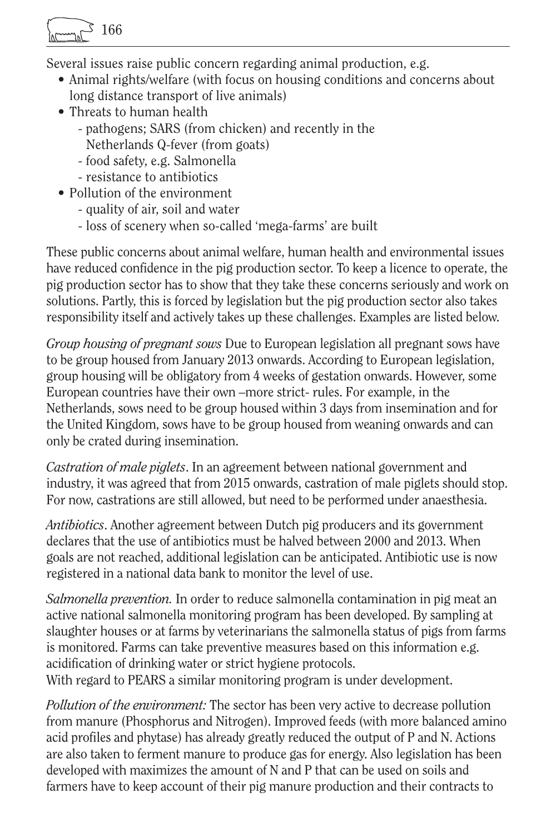$5\,166$ 

Several issues raise public concern regarding animal production, e.g.

- Animal rights/welfare (with focus on housing conditions and concerns about long distance transport of live animals)
- Threats to human health
	- pathogens; SARS (from chicken) and recently in the
	- Netherlands Q-fever (from goats)
	- food safety, e.g. Salmonella
	- resistance to antibiotics
- Pollution of the environment
	- quality of air, soil and water
	- loss of scenery when so-called 'mega-farms' are built

These public concerns about animal welfare, human health and environmental issues have reduced confidence in the pig production sector. To keep a licence to operate, the pig production sector has to show that they take these concerns seriously and work on solutions. Partly, this is forced by legislation but the pig production sector also takes responsibility itself and actively takes up these challenges. Examples are listed below.

*Group housing of pregnant sows* Due to European legislation all pregnant sows have to be group housed from January 2013 onwards. According to European legislation, group housing will be obligatory from 4 weeks of gestation onwards. However, some European countries have their own –more strict- rules. For example, in the Netherlands, sows need to be group housed within 3 days from insemination and for the United Kingdom, sows have to be group housed from weaning onwards and can only be crated during insemination.

*Castration of male piglets*. In an agreement between national government and industry, it was agreed that from 2015 onwards, castration of male piglets should stop. For now, castrations are still allowed, but need to be performed under anaesthesia.

*Antibiotics*. Another agreement between Dutch pig producers and its government declares that the use of antibiotics must be halved between 2000 and 2013. When goals are not reached, additional legislation can be anticipated. Antibiotic use is now registered in a national data bank to monitor the level of use.

*Salmonella prevention.* In order to reduce salmonella contamination in pig meat an active national salmonella monitoring program has been developed. By sampling at slaughter houses or at farms by veterinarians the salmonella status of pigs from farms is monitored. Farms can take preventive measures based on this information e.g. acidification of drinking water or strict hygiene protocols.

With regard to PEARS a similar monitoring program is under development.

*Pollution of the environment:* The sector has been very active to decrease pollution from manure (Phosphorus and Nitrogen). Improved feeds (with more balanced amino acid profiles and phytase) has already greatly reduced the output of P and N. Actions are also taken to ferment manure to produce gas for energy. Also legislation has been developed with maximizes the amount of N and P that can be used on soils and farmers have to keep account of their pig manure production and their contracts to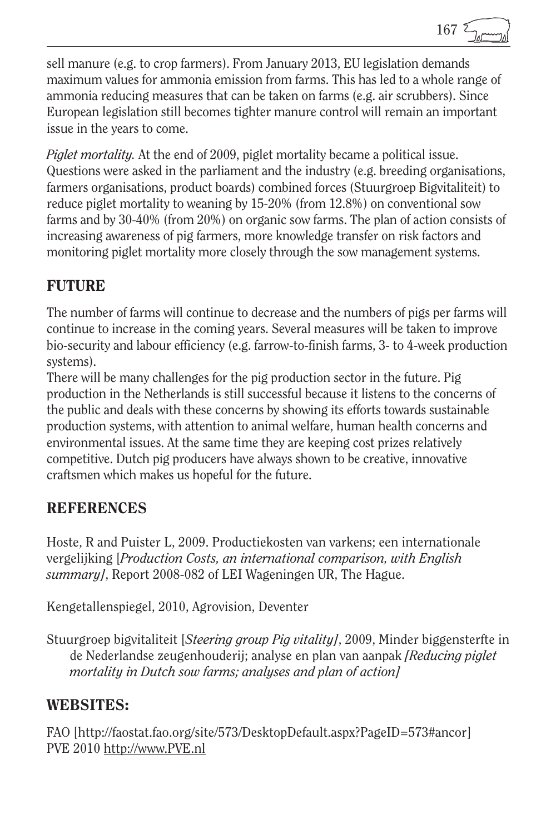sell manure (e.g. to crop farmers). From January 2013, EU legislation demands maximum values for ammonia emission from farms. This has led to a whole range of ammonia reducing measures that can be taken on farms (e.g. air scrubbers). Since European legislation still becomes tighter manure control will remain an important issue in the years to come.

*Piglet mortality.* At the end of 2009, piglet mortality became a political issue. Questions were asked in the parliament and the industry (e.g. breeding organisations, farmers organisations, product boards) combined forces (Stuurgroep Bigvitaliteit) to reduce piglet mortality to weaning by 15-20% (from 12.8%) on conventional sow farms and by 30-40% (from 20%) on organic sow farms. The plan of action consists of increasing awareness of pig farmers, more knowledge transfer on risk factors and monitoring piglet mortality more closely through the sow management systems.

### **FUTURE**

The number of farms will continue to decrease and the numbers of pigs per farms will continue to increase in the coming years. Several measures will be taken to improve bio-security and labour efficiency (e.g. farrow-to-finish farms, 3- to 4-week production systems).

There will be many challenges for the pig production sector in the future. Pig production in the Netherlands is still successful because it listens to the concerns of the public and deals with these concerns by showing its efforts towards sustainable production systems, with attention to animal welfare, human health concerns and environmental issues. At the same time they are keeping cost prizes relatively competitive. Dutch pig producers have always shown to be creative, innovative craftsmen which makes us hopeful for the future.

#### **REFERENCES**

Hoste, R and Puister L, 2009. Productiekosten van varkens; een internationale vergelijking [*Production Costs, an international comparison, with English summary]*, Report 2008-082 of LEI Wageningen UR, The Hague.

Kengetallenspiegel, 2010, Agrovision, Deventer

Stuurgroep bigvitaliteit [*Steering group Pig vitality]*, 2009, Minder biggensterfte in de Nederlandse zeugenhouderij; analyse en plan van aanpak *[Reducing piglet mortality in Dutch sow farms; analyses and plan of action]*

#### WEBSITES:

FAO [http://faostat.fao.org/site/573/DesktopDefault.aspx?PageID=573#ancor] PVE 2010 http://www.PVE.nl